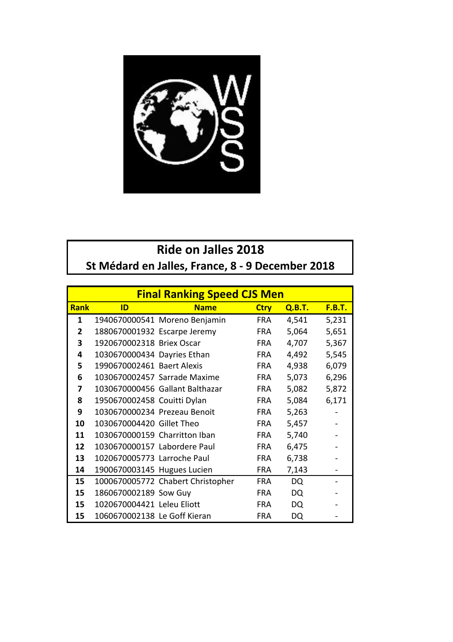

## **Ride on Jalles 2018**

St Médard en Jalles, France, 8 - 9 December 2018

|              | <b>Final Ranking Speed CJS Men</b> |                                   |             |               |               |  |  |  |
|--------------|------------------------------------|-----------------------------------|-------------|---------------|---------------|--|--|--|
| <b>Rank</b>  | ID                                 | <b>Name</b>                       | <b>Ctry</b> | <b>Q.B.T.</b> | <b>F.B.T.</b> |  |  |  |
| 1            |                                    | 1940670000541 Moreno Benjamin     | <b>FRA</b>  | 4,541         | 5,231         |  |  |  |
| $\mathbf{2}$ | 1880670001932 Escarpe Jeremy       |                                   | FRA.        | 5,064         | 5,651         |  |  |  |
| 3            | 1920670002318 Briex Oscar          |                                   | <b>FRA</b>  | 4,707         | 5,367         |  |  |  |
| 4            | 1030670000434 Dayries Ethan        |                                   | FRA.        | 4,492         | 5,545         |  |  |  |
| 5            | 1990670002461 Baert Alexis         |                                   | <b>FRA</b>  | 4,938         | 6,079         |  |  |  |
| 6            |                                    | 1030670002457 Sarrade Maxime      | FRA.        | 5,073         | 6,296         |  |  |  |
| 7            |                                    | 1030670000456 Gallant Balthazar   | FRA.        | 5,082         | 5,872         |  |  |  |
| 8            | 1950670002458 Couitti Dylan        |                                   | FRA.        | 5,084         | 6,171         |  |  |  |
| 9            | 1030670000234 Prezeau Benoit       |                                   | <b>FRA</b>  | 5,263         |               |  |  |  |
| 10           | 1030670004420 Gillet Theo          |                                   | <b>FRA</b>  | 5,457         |               |  |  |  |
| 11           | 1030670000159 Charritton Iban      |                                   | <b>FRA</b>  | 5,740         |               |  |  |  |
| 12           | 1030670000157 Labordere Paul       |                                   | <b>FRA</b>  | 6,475         |               |  |  |  |
| 13           | 1020670005773 Larroche Paul        |                                   | FRA.        | 6,738         |               |  |  |  |
| 14           | 1900670003145 Hugues Lucien        |                                   | <b>FRA</b>  | 7,143         |               |  |  |  |
| 15           |                                    | 1000670005772 Chabert Christopher | <b>FRA</b>  | DQ            |               |  |  |  |
| 15           | 1860670002189 Sow Guy              |                                   | <b>FRA</b>  | DQ            |               |  |  |  |
| 15           | 1020670004421 Leleu Eliott         |                                   | <b>FRA</b>  | DQ            |               |  |  |  |
| 15           | 1060670002138 Le Goff Kieran       |                                   | <b>FRA</b>  | DQ            |               |  |  |  |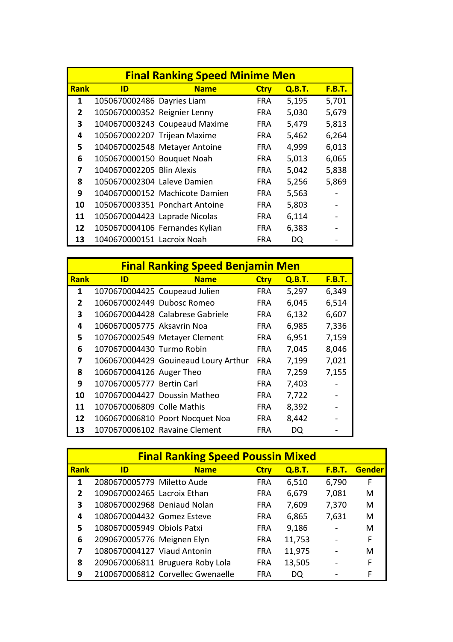|              | <b>Final Ranking Speed Minime Men</b> |                                |             |        |               |  |  |  |
|--------------|---------------------------------------|--------------------------------|-------------|--------|---------------|--|--|--|
| <b>Rank</b>  | ID                                    | <b>Name</b>                    | <b>Ctry</b> | Q.B.T. | <u>F.B.T.</u> |  |  |  |
| 1            | 1050670002486 Dayries Liam            |                                | <b>FRA</b>  | 5,195  | 5,701         |  |  |  |
| $\mathbf{2}$ | 1050670000352 Reignier Lenny          |                                | <b>FRA</b>  | 5,030  | 5,679         |  |  |  |
| 3            |                                       | 1040670003243 Coupeaud Maxime  | <b>FRA</b>  | 5,479  | 5,813         |  |  |  |
| 4            | 1050670002207 Trijean Maxime          |                                | <b>FRA</b>  | 5,462  | 6,264         |  |  |  |
| 5            |                                       | 1040670002548 Metayer Antoine  | FRA.        | 4,999  | 6,013         |  |  |  |
| 6            | 1050670000150 Bouquet Noah            |                                | <b>FRA</b>  | 5,013  | 6,065         |  |  |  |
| 7            | 1040670002205 Blin Alexis             |                                | FRA.        | 5,042  | 5,838         |  |  |  |
| 8            | 1050670002304 Laleve Damien           |                                | FRA.        | 5,256  | 5,869         |  |  |  |
| 9            |                                       | 1040670000152 Machicote Damien | <b>FRA</b>  | 5,563  |               |  |  |  |
| 10           |                                       | 1050670003351 Ponchart Antoine | FRA.        | 5,803  |               |  |  |  |
| 11           | 1050670004423 Laprade Nicolas         |                                | <b>FRA</b>  | 6,114  |               |  |  |  |
| 12           |                                       | 1050670004106 Fernandes Kylian | <b>FRA</b>  | 6,383  |               |  |  |  |
| 13           | 1040670000151 Lacroix Noah            |                                | FRA         | DQ     |               |  |  |  |

|             | <b>Final Ranking Speed Benjamin Men</b> |                                      |             |        |               |  |  |
|-------------|-----------------------------------------|--------------------------------------|-------------|--------|---------------|--|--|
| <b>Rank</b> | ID                                      | <b>Name</b>                          | <b>Ctry</b> | Q.B.T. | <b>F.B.T.</b> |  |  |
| 1           |                                         | 1070670004425 Coupeaud Julien        | FRA         | 5,297  | 6,349         |  |  |
| 2           | 1060670002449 Dubosc Romeo              |                                      | FRA.        | 6,045  | 6,514         |  |  |
| 3           |                                         | 1060670004428 Calabrese Gabriele     | FRA.        | 6,132  | 6,607         |  |  |
| 4           | 1060670005775 Aksayrin Noa              |                                      | <b>FRA</b>  | 6,985  | 7,336         |  |  |
| 5.          |                                         | 1070670002549 Metayer Clement        | <b>FRA</b>  | 6,951  | 7,159         |  |  |
| 6           | 1070670004430 Turmo Robin               |                                      | <b>FRA</b>  | 7,045  | 8,046         |  |  |
| 7           |                                         | 1060670004429 Gouineaud Loury Arthur | <b>FRA</b>  | 7,199  | 7,021         |  |  |
| 8           | 1060670004126 Auger Theo                |                                      | <b>FRA</b>  | 7,259  | 7,155         |  |  |
| 9           | 1070670005777 Bertin Carl               |                                      | <b>FRA</b>  | 7,403  |               |  |  |
| 10          |                                         | 1070670004427 Doussin Matheo         | <b>FRA</b>  | 7,722  |               |  |  |
| 11          | 1070670006809 Colle Mathis              |                                      | <b>FRA</b>  | 8,392  |               |  |  |
| 12          |                                         | 1060670006810 Poort Nocquet Noa      | <b>FRA</b>  | 8,442  |               |  |  |
| 13          |                                         | 1070670006102 Ravaine Clement        | FRA         | DQ     |               |  |  |

|                | <b>Final Ranking Speed Poussin Mixed</b> |                                   |             |        |               |               |  |  |
|----------------|------------------------------------------|-----------------------------------|-------------|--------|---------------|---------------|--|--|
| <b>Rank</b>    | ID                                       | <b>Name</b>                       | <b>Ctry</b> | Q.B.T. | <b>F.B.T.</b> | <b>Gender</b> |  |  |
| 1              | 2080670005779 Miletto Aude               |                                   | <b>FRA</b>  | 6,510  | 6,790         | F             |  |  |
| $\mathfrak{p}$ | 1090670002465 Lacroix Ethan              |                                   | <b>FRA</b>  | 6,679  | 7,081         | M             |  |  |
| 3              | 1080670002968 Deniaud Nolan              |                                   | <b>FRA</b>  | 7,609  | 7,370         | M             |  |  |
| 4              | 1080670004432 Gomez Esteve               |                                   | <b>FRA</b>  | 6,865  | 7,631         | M             |  |  |
| 5              | 1080670005949 Obiols Patxi               |                                   | <b>FRA</b>  | 9,186  |               | M             |  |  |
| 6              | 2090670005776 Meignen Elyn               |                                   | <b>FRA</b>  | 11,753 |               | F             |  |  |
| 7              | 1080670004127 Viaud Antonin              |                                   | <b>FRA</b>  | 11,975 |               | M             |  |  |
| 8              |                                          | 2090670006811 Bruguera Roby Lola  | <b>FRA</b>  | 13,505 |               | F             |  |  |
| 9              |                                          | 2100670006812 Corvellec Gwenaelle | <b>FRA</b>  | DQ     |               | F             |  |  |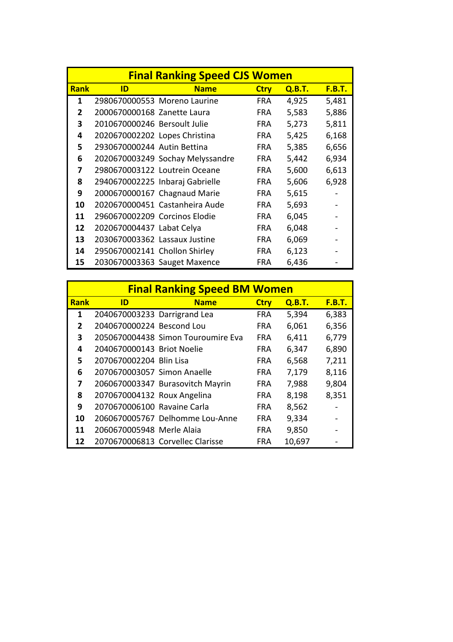|              | <b>Final Ranking Speed CJS Women</b> |                                  |             |        |               |  |  |  |
|--------------|--------------------------------------|----------------------------------|-------------|--------|---------------|--|--|--|
| <b>Rank</b>  | ID                                   | <b>Name</b>                      | <b>Ctry</b> | Q.B.T. | <u>F.B.T.</u> |  |  |  |
| 1            |                                      | 2980670000553 Moreno Laurine     | FRA.        | 4,925  | 5,481         |  |  |  |
| $\mathbf{2}$ | 2000670000168 Zanette Laura          |                                  | FRA.        | 5,583  | 5,886         |  |  |  |
| 3            | 2010670000246 Bersoult Julie         |                                  | <b>FRA</b>  | 5,273  | 5,811         |  |  |  |
| 4            | 2020670002202 Lopes Christina        |                                  | <b>FRA</b>  | 5,425  | 6,168         |  |  |  |
| 5            | 2930670000244 Autin Bettina          |                                  | FRA.        | 5,385  | 6,656         |  |  |  |
| 6            |                                      | 2020670003249 Sochay Melyssandre | FRA.        | 5,442  | 6,934         |  |  |  |
| 7            |                                      | 2980670003122 Loutrein Oceane    | <b>FRA</b>  | 5,600  | 6,613         |  |  |  |
| 8            |                                      | 2940670002225 Inbaraj Gabrielle  | <b>FRA</b>  | 5,606  | 6,928         |  |  |  |
| 9            |                                      | 2000670000167 Chagnaud Marie     | <b>FRA</b>  | 5,615  |               |  |  |  |
| 10           |                                      | 2020670000451 Castanheira Aude   | FRA.        | 5,693  |               |  |  |  |
| 11           | 2960670002209 Corcinos Elodie        |                                  | FRA.        | 6,045  |               |  |  |  |
| 12           | 2020670004437 Labat Celya            |                                  | <b>FRA</b>  | 6,048  |               |  |  |  |
| 13           | 2030670003362 Lassaux Justine        |                                  | <b>FRA</b>  | 6,069  |               |  |  |  |
| 14           | 2950670002141 Chollon Shirley        |                                  | <b>FRA</b>  | 6,123  |               |  |  |  |
| 15           |                                      | 2030670003363 Sauget Maxence     | <b>FRA</b>  | 6,436  |               |  |  |  |

|                | <b>Final Ranking Speed BM Women</b> |                                    |             |        |               |  |  |  |
|----------------|-------------------------------------|------------------------------------|-------------|--------|---------------|--|--|--|
| <b>Rank</b>    | ID                                  | <b>Name</b>                        | <b>Ctry</b> | Q.B.T. | <b>F.B.T.</b> |  |  |  |
| 1              | 2040670003233 Darrigrand Lea        |                                    | <b>FRA</b>  | 5,394  | 6,383         |  |  |  |
| $\overline{2}$ | 2040670000224 Bescond Lou           |                                    | <b>FRA</b>  | 6,061  | 6,356         |  |  |  |
| 3              |                                     | 2050670004438 Simon Touroumire Eva | <b>FRA</b>  | 6,411  | 6,779         |  |  |  |
| 4              | 2040670000143 Briot Noelie          |                                    | <b>FRA</b>  | 6,347  | 6,890         |  |  |  |
| 5              | 2070670002204 Blin Lisa             |                                    | <b>FRA</b>  | 6,568  | 7,211         |  |  |  |
| 6              | 2070670003057 Simon Anaelle         |                                    | <b>FRA</b>  | 7,179  | 8,116         |  |  |  |
| 7              |                                     | 2060670003347 Burasovitch Mayrin   | <b>FRA</b>  | 7,988  | 9,804         |  |  |  |
| 8              | 2070670004132 Roux Angelina         |                                    | <b>FRA</b>  | 8,198  | 8,351         |  |  |  |
| 9              | 2070670006100 Ravaine Carla         |                                    | <b>FRA</b>  | 8,562  |               |  |  |  |
| 10             |                                     | 2060670005767 Delhomme Lou-Anne    | <b>FRA</b>  | 9,334  |               |  |  |  |
| 11             | 2060670005948 Merle Alaia           |                                    | FRA         | 9,850  |               |  |  |  |
| 12             |                                     | 2070670006813 Corvellec Clarisse   | <b>FRA</b>  | 10,697 |               |  |  |  |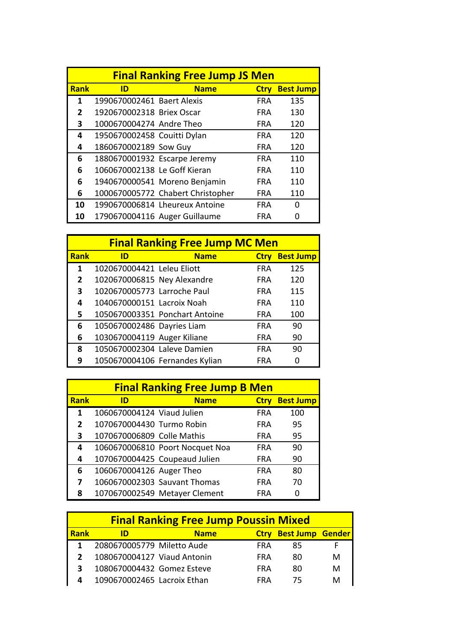|              |                              | <b>Final Ranking Free Jump JS Men</b> |             |                  |
|--------------|------------------------------|---------------------------------------|-------------|------------------|
| <b>Rank</b>  | ID                           | <b>Name</b>                           | <b>Ctry</b> | <b>Best Jump</b> |
| 1            | 1990670002461 Baert Alexis   |                                       | <b>FRA</b>  | 135              |
| $\mathbf{2}$ | 1920670002318 Briex Oscar    |                                       | <b>FRA</b>  | 130              |
| 3            | 1000670004274 Andre Theo     |                                       | <b>FRA</b>  | 120              |
| 4            | 1950670002458 Couitti Dylan  |                                       | <b>FRA</b>  | 120              |
| 4            | 1860670002189 Sow Guy        |                                       | <b>FRA</b>  | 120              |
| 6            | 1880670001932 Escarpe Jeremy |                                       | <b>FRA</b>  | 110              |
| 6            | 1060670002138 Le Goff Kieran |                                       | <b>FRA</b>  | 110              |
| 6            |                              | 1940670000541 Moreno Benjamin         | <b>FRA</b>  | 110              |
| 6            |                              | 1000670005772 Chabert Christopher     | <b>FRA</b>  | 110              |
| 10           |                              | 1990670006814 Lheureux Antoine        | <b>FRA</b>  | 0                |
| 10           |                              | 1790670004116 Auger Guillaume         | FRA         |                  |

|      | <b>Final Ranking Free Jump MC Men</b> |                                |             |                  |  |  |  |  |
|------|---------------------------------------|--------------------------------|-------------|------------------|--|--|--|--|
| Rank | ID                                    | <b>Name</b>                    | <b>Ctry</b> | <b>Best Jump</b> |  |  |  |  |
| 1    | 1020670004421 Leleu Eliott            |                                | <b>FRA</b>  | 125              |  |  |  |  |
| 2    | 1020670006815 Ney Alexandre           |                                | <b>FRA</b>  | 120              |  |  |  |  |
| 3    | 1020670005773 Larroche Paul           |                                | <b>FRA</b>  | 115              |  |  |  |  |
| 4    | 1040670000151 Lacroix Noah            |                                | <b>FRA</b>  | 110              |  |  |  |  |
| 5.   |                                       | 1050670003351 Ponchart Antoine | <b>FRA</b>  | 100              |  |  |  |  |
| 6    | 1050670002486 Dayries Liam            |                                | <b>FRA</b>  | 90               |  |  |  |  |
| 6    | 1030670004119 Auger Kiliane           |                                | FRA         | 90               |  |  |  |  |
| 8    | 1050670002304 Laleve Damien           |                                | <b>FRA</b>  | 90               |  |  |  |  |
| 9    |                                       | 1050670004106 Fernandes Kylian | <b>FRA</b>  |                  |  |  |  |  |

|              | <b>Final Ranking Free Jump B Men</b> |                                 |             |                  |  |  |  |  |
|--------------|--------------------------------------|---------------------------------|-------------|------------------|--|--|--|--|
| <b>Rank</b>  | ID                                   | <b>Name</b>                     | <b>Ctry</b> | <b>Best Jump</b> |  |  |  |  |
| 1            | 1060670004124 Viaud Julien           |                                 | <b>FRA</b>  | 100              |  |  |  |  |
| $\mathbf{2}$ | 1070670004430 Turmo Robin            |                                 | <b>FRA</b>  | 95               |  |  |  |  |
| 3            | 1070670006809 Colle Mathis           |                                 | <b>FRA</b>  | 95               |  |  |  |  |
| 4            |                                      | 1060670006810 Poort Nocquet Noa | <b>FRA</b>  | 90               |  |  |  |  |
| 4            |                                      | 1070670004425 Coupeaud Julien   | <b>FRA</b>  | 90               |  |  |  |  |
| 6            | 1060670004126 Auger Theo             |                                 | <b>FRA</b>  | 80               |  |  |  |  |
| 7            |                                      | 1060670002303 Sauvant Thomas    | <b>FRA</b>  | 70               |  |  |  |  |
| 8            |                                      | 1070670002549 Metayer Clement   | FRA         |                  |  |  |  |  |

|             | <b>Final Ranking Free Jump Poussin Mixed</b> |             |             |                         |   |  |
|-------------|----------------------------------------------|-------------|-------------|-------------------------|---|--|
| <b>Rank</b> | ID                                           | <b>Name</b> | <b>Ctrv</b> | <b>Best Jump Gender</b> |   |  |
|             | 2080670005779 Miletto Aude                   |             | <b>FRA</b>  | 85                      |   |  |
|             | 1080670004127 Viaud Antonin                  |             | <b>FRA</b>  | 80                      | М |  |
| 3           | 1080670004432 Gomez Esteve                   |             | <b>FRA</b>  | 80                      | М |  |
| 4           | 1090670002465 Lacroix Ethan                  |             | <b>FRA</b>  | 75                      | M |  |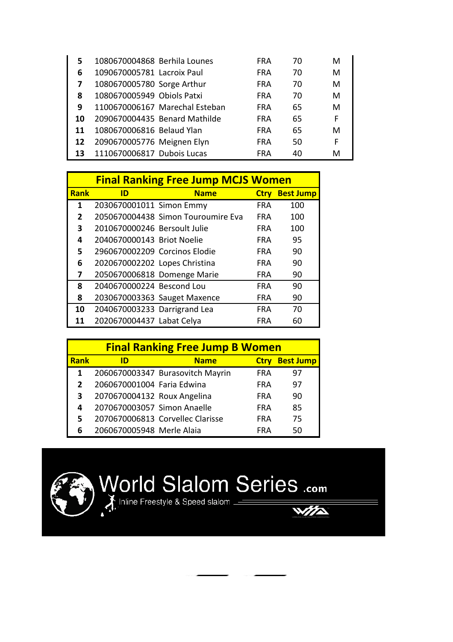| 5  | 1080670004868 Berhila Lounes |                                | FRA        | 70 | м |
|----|------------------------------|--------------------------------|------------|----|---|
| 6  | 1090670005781 Lacroix Paul   |                                | FRA        | 70 | м |
| 7  | 1080670005780 Sorge Arthur   |                                | <b>FRA</b> | 70 | М |
| 8  | 1080670005949 Obiols Patxi   |                                | <b>FRA</b> | 70 | м |
| 9  |                              | 1100670006167 Marechal Esteban | <b>FRA</b> | 65 | м |
| 10 |                              | 2090670004435 Benard Mathilde  | <b>FRA</b> | 65 | F |
| 11 | 1080670006816 Belaud Ylan    |                                | <b>FRA</b> | 65 | м |
| 12 | 2090670005776 Meignen Elyn   |                                | <b>FRA</b> | 50 | F |
| 13 | 1110670006817 Dubois Lucas   |                                | FRA        | 40 | м |

|             | <b>Final Ranking Free Jump MCJS Women</b> |                                    |             |                  |  |  |  |
|-------------|-------------------------------------------|------------------------------------|-------------|------------------|--|--|--|
| <b>Rank</b> | ID                                        | <b>Name</b>                        | <b>Ctry</b> | <b>Best Jump</b> |  |  |  |
| 1           | 2030670001011 Simon Emmy                  |                                    | <b>FRA</b>  | 100              |  |  |  |
| 2           |                                           | 2050670004438 Simon Touroumire Eva | FRA         | 100              |  |  |  |
| 3           | 2010670000246 Bersoult Julie              |                                    | <b>FRA</b>  | 100              |  |  |  |
| 4           | 2040670000143 Briot Noelie                |                                    | <b>FRA</b>  | 95               |  |  |  |
| 5           | 2960670002209 Corcinos Elodie             |                                    | <b>FRA</b>  | 90               |  |  |  |
| 6           | 2020670002202 Lopes Christina             |                                    | <b>FRA</b>  | 90               |  |  |  |
| 7           |                                           | 2050670006818 Domenge Marie        | <b>FRA</b>  | 90               |  |  |  |
| 8           | 2040670000224 Bescond Lou                 |                                    | <b>FRA</b>  | 90               |  |  |  |
| 8           |                                           | 2030670003363 Sauget Maxence       | <b>FRA</b>  | 90               |  |  |  |
| 10          | 2040670003233 Darrigrand Lea              |                                    | <b>FRA</b>  | 70               |  |  |  |
| 11          | 2020670004437 Labat Celya                 |                                    | FRA         | 60               |  |  |  |

| <b>Final Ranking Free Jump B Women</b> |                             |                                  |             |                  |
|----------------------------------------|-----------------------------|----------------------------------|-------------|------------------|
| <b>Rank</b>                            | ID                          | <b>Name</b>                      | <b>Ctrv</b> | <b>Best Jump</b> |
|                                        |                             | 2060670003347 Burasovitch Mayrin | <b>FRA</b>  | 97               |
| 2                                      | 2060670001004 Faria Edwina  |                                  | <b>FRA</b>  | 97               |
| 3                                      | 2070670004132 Roux Angelina |                                  | <b>FRA</b>  | 90               |
| 4                                      | 2070670003057 Simon Anaelle |                                  | <b>FRA</b>  | 85               |
|                                        |                             | 2070670006813 Corvellec Clarisse | <b>FRA</b>  | 75               |
|                                        | 2060670005948 Merle Alaia   |                                  | <b>FRA</b>  | 50               |



## World Slalom Series .com